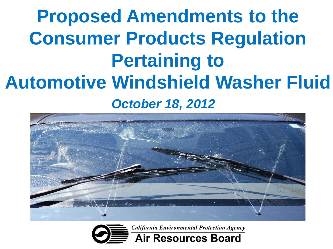#### **Proposed Amendments to the Consumer Products Regulation Pertaining to Automotive Windshield Washer Fluid** *October 18, 2012*



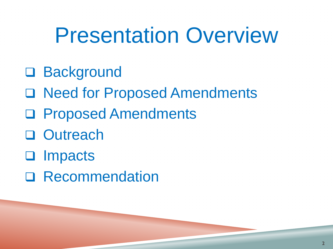### Presentation Overview

- □ Background
- □ Need for Proposed Amendments
- Proposed Amendments
- □ Outreach
- **umpacts**
- □ Recommendation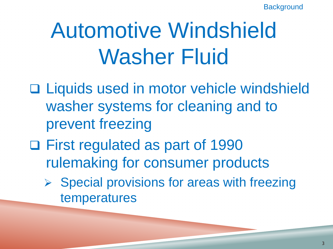# Automotive Windshield Washer Fluid

- □ Liquids used in motor vehicle windshield washer systems for cleaning and to prevent freezing
- □ First regulated as part of 1990 rulemaking for consumer products
	- $\triangleright$  Special provisions for areas with freezing temperatures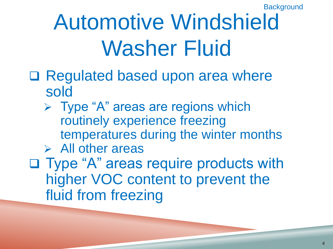# Automotive Windshield Washer Fluid

- □ Regulated based upon area where sold
	- $\triangleright$  Type "A" areas are regions which routinely experience freezing temperatures during the winter months
	- $\triangleright$  All other areas
- □ Type "A" areas require products with higher VOC content to prevent the fluid from freezing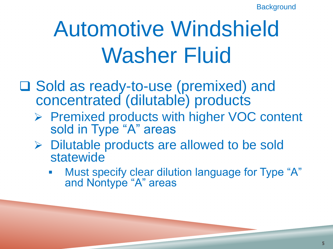# Automotive Windshield Washer Fluid

□ Sold as ready-to-use (premixed) and concentrated (dilutable) products

- ▶ Premixed products with higher VOC content sold in Type "A" areas
- $\triangleright$  Dilutable products are allowed to be sold statewide
	- Must specify clear dilution language for Type "A" and Nontype "A" areas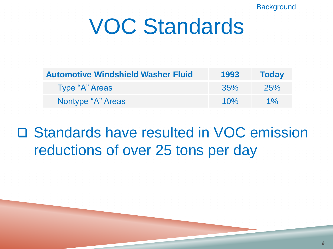# VOC Standards

| <b>Automotive Windshield Washer Fluid</b> | 1993 | <b>Today</b> |
|-------------------------------------------|------|--------------|
| Type "A" Areas                            | 35%  | 25%          |
| Nontype "A" Areas                         | 10%  | $1\%$        |

#### □ Standards have resulted in VOC emission reductions of over 25 tons per day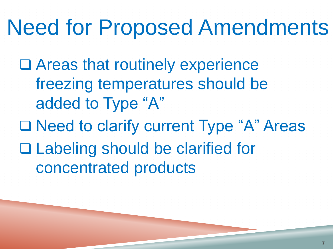# Need for Proposed Amendments

- □ Areas that routinely experience freezing temperatures should be added to Type "A"
- □ Need to clarify current Type "A" Areas □ Labeling should be clarified for concentrated products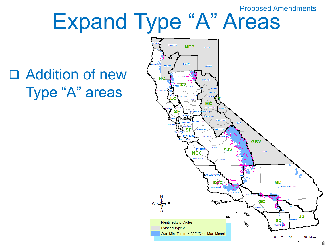Proposed Amendments

# Expand Type "A" Areas

#### Addition of new Type "A" areas

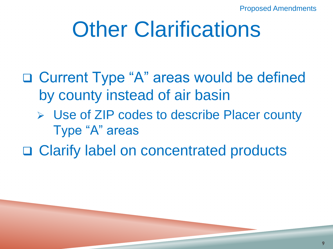Proposed Amendments

# **Other Clarifications**

□ Current Type "A" areas would be defined by county instead of air basin

**▶ Use of ZIP codes to describe Placer county** Type "A" areas

□ Clarify label on concentrated products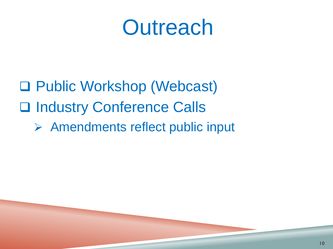### **Outreach**

□ Public Workshop (Webcast) □ Industry Conference Calls Amendments reflect public input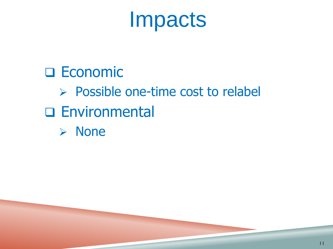# Impacts

#### **D** Economic  $\triangleright$  Possible one-time cost to relabel Environmental None